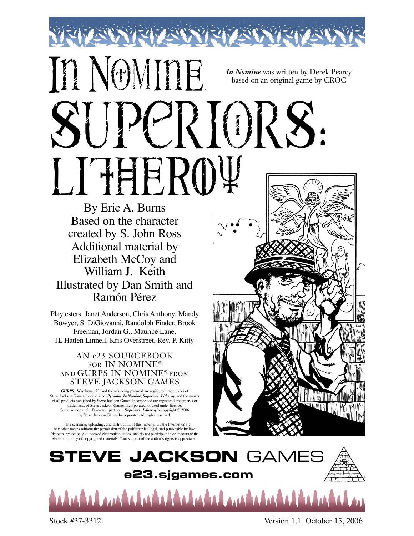## IT NOMITE *In Nomine* was written by Derek Pearcy based on an original game by CROC SUPERIORS: LITHEROY

By Eric A. Burns Based on the character created by S. John Ross Additional material by Elizabeth McCoy and William J. Keith Illustrated by Dan Smith and Ramón Pérez

Playtesters: Janet Anderson, Chris Anthony, Mandy Bowyer, S. DiGiovanni, Randolph Finder, Brook Freeman, Jordan G., Maurice Lane, JL Hatlen Linnell, Kris Overstreet, Rev. P. Kitty

#### AN e23 SOURCEBOOK FOR IN NOMINE® AND GURPS IN NOMINE® FROM STEVE JACKSON GAMES

*GURPS*, Warehouse 23, and the all-seeing pyramid are registered trademarks of Steve Jackson Games Incorporated. *Pyramid*, *In Nomine, Superiors: Litheroy*, and the names of all products published by Steve Jackson Games Incorporated are registered trademarks or trademarks of Steve Jackson Games Incorporated, or used under license. Some art copyright © www.clipart.com. *Superiors: Litheroy* is copyright © 2006 by Steve Jackson Games Incorporated. All rights reserved.

The scanning, uploading, and distribution of this material via the Internet or via any other means without the permission of the publisher is illegal, and punishable by law. Please purchase only authorized electronic editions, and do not participate in or encourage the electronic piracy of copyrighted materials. Your support of the author's rights is appreciated.





Stock #37-3312 Version 1.1 October 15, 2006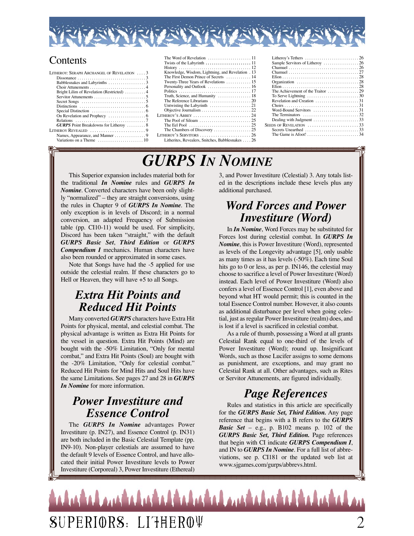

#### **Contents**

| LITHEROY: SERAPH ARCHANGEL OF REVELATION $\,\ldots\,3$                     |  |
|----------------------------------------------------------------------------|--|
|                                                                            |  |
|                                                                            |  |
|                                                                            |  |
| Bright Lilim of Revelation (Restricted)  4                                 |  |
|                                                                            |  |
| Secret Songs $\dots \dots \dots \dots \dots \dots \dots \dots \dots \dots$ |  |
|                                                                            |  |
|                                                                            |  |
|                                                                            |  |
|                                                                            |  |
| <b>GURPS</b> Point Breakdowns for Litheroy  8                              |  |
| Litheroy Revealed 9                                                        |  |
|                                                                            |  |
| Variations on a Theme $\dots\dots\dots\dots\dots\dots\dots$ 10             |  |
|                                                                            |  |

| Knowledge, Wisdom, Lightning, and Revelation . 13                                       |
|-----------------------------------------------------------------------------------------|
| The First Demon Prince of Secrets  14                                                   |
| Twenty-Three Years of Revelations  15                                                   |
|                                                                                         |
|                                                                                         |
| Truth, Science, and Humanity  18                                                        |
|                                                                                         |
| Untwisting the Labyrinth $\ldots \ldots \ldots \ldots \ldots \ldots 21$                 |
|                                                                                         |
|                                                                                         |
|                                                                                         |
| The Eel Pool $\ldots \ldots \ldots \ldots \ldots \ldots \ldots \ldots \ldots \ldots 25$ |
|                                                                                         |
|                                                                                         |
| Litherites, Revealers, Snitches, Babblesnakes  26                                       |
|                                                                                         |
|                                                                                         |

| Litheroy's Tethers $\dots \dots \dots \dots \dots \dots \dots \dots \dots \dots 26$ |  |
|-------------------------------------------------------------------------------------|--|
|                                                                                     |  |
|                                                                                     |  |
|                                                                                     |  |
|                                                                                     |  |
|                                                                                     |  |
|                                                                                     |  |
| The Achievement of the Traitor $\dots\dots\dots\dots 29$                            |  |
| To Serve Lightning $\ldots \ldots \ldots \ldots \ldots \ldots \ldots \ldots$        |  |
| Revelation and Creation $\dots\dots\dots\dots\dots\dots$ 31                         |  |
|                                                                                     |  |
| Word-Bound Servitors $\ldots \ldots \ldots \ldots \ldots 31$                        |  |
| The Terminators $\ldots \ldots \ldots \ldots \ldots \ldots \ldots 32$               |  |
|                                                                                     |  |
| SEEDS OF REVELATION 33                                                              |  |
| Secrets Unearthed $\ldots \ldots \ldots \ldots \ldots \ldots \ldots$ 33             |  |
| The Game is Afoot! $\ldots \ldots \ldots \ldots \ldots \ldots 34$                   |  |
|                                                                                     |  |

### *GURPS IN NOMINE*

This Superior expansion includes material both for the traditional *In Nomine* rules and *GURPS In Nomine*. Converted characters have been only slightly "normalized" – they are straight conversions, using the rules in Chapter 9 of *GURPS In Nomine*. The only exception is in levels of Discord; in a normal conversion, an adapted Frequency of Submission table (pp. CI10-11) would be used. For simplicity, Discord has been taken "straight," with the default *GURPS Basic Set*, *Third Edition* or *GURPS Compendium I* mechanics. Human characters have also been rounded or approximated in some cases.

Note that Songs have had the -5 applied for use outside the celestial realm. If these characters go to Hell or Heaven, they will have +5 to all Songs.

#### *Extra Hit Points and Reduced Hit Points*

Many converted *GURPS* characters have Extra Hit Points for physical, mental, and celestial combat. The physical advantage is written as Extra Hit Points for the vessel in question. Extra Hit Points (Mind) are bought with the -50% Limitation, "Only for mental combat," and Extra Hit Points (Soul) are bought with the -20% Limitation, "Only for celestial combat." Reduced Hit Points for Mind Hits and Soul Hits have the same Limitations. See pages 27 and 28 in *GURPS In Nomine* for more information.

#### *Power Investiture and Essence Control*

The *GURPS In Nomine* advantages Power Investiture (p. IN27), and Essence Control (p. IN31) are both included in the Basic Celestial Template (pp. IN9-10). Non-player celestials are assumed to have the default 9 levels of Essence Control, and have allocated their initial Power Investiture levels to Power Investiture (Corporeal) 3, Power Investiture (Ethereal)

3, and Power Investiture (Celestial) 3. Any totals listed in the descriptions include these levels plus any additional purchased.

#### *Word Forces and Power Investiture (Word)*

In *In Nomine*, Word Forces may be substituted for Forces lost during celestial combat. In *GURPS In Nomine*, this is Power Investiture (Word), represented as levels of the Longevity advantage [5], only usable as many times as it has levels (-50%). Each time Soul hits go to 0 or less, as per p. IN146, the celestial may choose to sacrifice a level of Power Investiture (Word) instead. Each level of Power Investiture (Word) also confers a level of Essence Control [1], even above and beyond what HT would permit; this is counted in the total Essence Control number. However, it also counts as additional disturbance per level when going celestial, just as regular Power Investiture (realm) does, and is lost if a level is sacrificed in celestial combat.

As a rule of thumb, possessing a Word at all grants Celestial Rank equal to one-third of the levels of Power Investiture (Word); round up. Insignificant Words, such as those Lucifer assigns to some demons as punishment, are exceptions, and may grant no Celestial Rank at all. Other advantages, such as Rites or Servitor Attunements, are figured individually.

#### *Page References*

Rules and statistics in this article are specifically for the *GURPS Basic Set, Third Edition.* Any page reference that begins with a B refers to the *GURPS Basic Set* – e.g., p. B102 means p. 102 of the *GURPS Basic Set, Third Edition.* Page references that begin with CI indicate *GURPS Compendium I*, and IN to *GURPS In Nomine*. For a full list of abbreviations, see p. CI181 or the updated web list at www.sjgames.com/gurps/abbrevs.html.

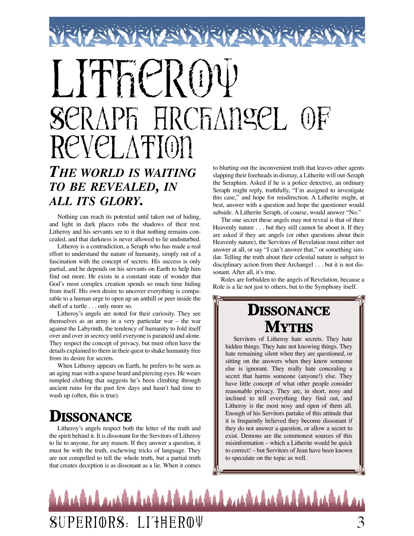# Lither RO SERAPH HRCHANGEL OF REVELATION

#### *THE WORLD IS WAITING TO BE REVEALED, IN ALL ITS GLORY.*

Nothing can reach its potential until taken out of hiding, and light in dark places robs the shadows of their rest. Litheroy and his servants see to it that nothing remains concealed, and that darkness is never allowed to lie undisturbed.

Litheroy is a contradiction, a Seraph who has made a real effort to understand the nature of humanity, simply out of a fascination with the concept of secrets. His success is only partial, and he depends on his servants on Earth to help him find out more. He exists in a constant state of wonder that God's most complex creation spends so much time hiding from itself. His own desire to uncover everything is comparable to a human urge to open up an anthill or peer inside the shell of a turtle . . . only more so.

Litheroy's angels are noted for their curiosity. They see themselves as an army in a very particular war – the war against the Labyrinth, the tendency of humanity to fold itself over and over in secrecy until everyone is paranoid and alone. They respect the concept of privacy, but must often have the details explained to them in their quest to shake humanity free from its desire for secrets.

When Litheroy appears on Earth, he prefers to be seen as an aging man with a sparse beard and piercing eyes. He wears rumpled clothing that suggests he's been climbing through ancient ruins for the past few days and hasn't had time to wash up (often, this is true).

#### **DISSONANCE**

Litheroy's angels respect both the letter of the truth and the spirit behind it. It is dissonant for the Servitors of Litheroy to lie to anyone, for any reason. If they answer a question, it must be with the truth, eschewing tricks of language. They are not compelled to tell the whole truth, but a partial truth that creates deception is as dissonant as a lie. When it comes

to blurting out the inconvenient truth that leaves other agents slapping their foreheads in dismay, a Litherite will out-Seraph the Seraphim. Asked if he is a police detective, an ordinary Seraph might reply, truthfully, "I'm assigned to investigate this case," and hope for misdirection. A Litherite might, at best, answer with a question and hope the questioner would subside. A Litherite Seraph, of course, would answer "No."

The one secret these angels may not reveal is that of their Heavenly nature . . . but they still cannot lie about it. If they are asked if they are angels (or other questions about their Heavenly nature), the Servitors of Revelation must either not answer at all, or say "I can't answer that," or something similar. Telling the truth about their celestial nature is subject to disciplinary action from their Archangel . . . but it is not dissonant. After all, it's true.

Roles are forbidden to the angels of Revelation, because a Role is a lie not just to others, but to the Symphony itself.

#### **DISSONANCE MYTHS**

Servitors of Litheroy hate secrets. They hate hidden things. They hate not knowing things. They hate remaining silent when they are questioned, or sitting on the answers when they know someone else is ignorant. They really hate concealing a secret that harms someone (anyone!) else. They have little concept of what other people consider reasonable privacy. They are, in short, nosy and inclined to tell everything they find out, and Litheroy is the most nosy and open of them all. Enough of his Servitors partake of this attitude that it is frequently believed they become dissonant if they do not answer a question, or allow a secret to exist. Demons are the commonest sources of this misinformation – which a Litherite would be quick to correct! – but Servitors of Jean have been known to speculate on the topic as well.